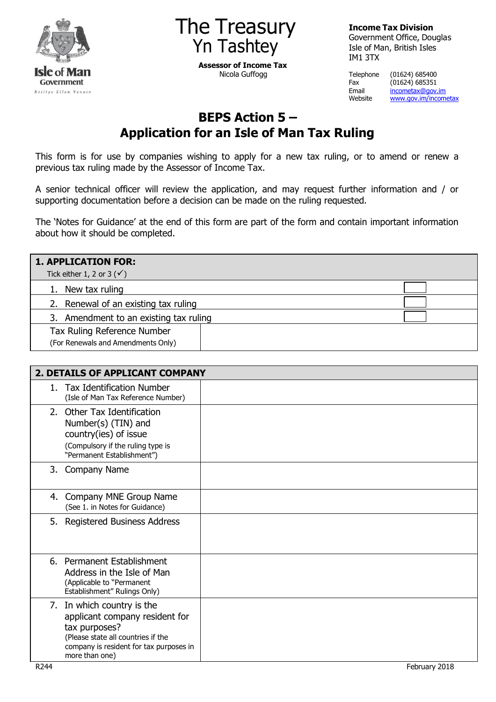



**Assessor of Income Tax** Nicola Guffogg

**Income Tax Division**

Government Office, Douglas Isle of Man, British Isles IM1 3TX

Telephone (01624) 685400 Fax (01624) 685351<br>Email <u>incometax@gov.</u> Email [incometax@gov.im](mailto:incometax@gov.im)<br>Website www.gov.im/incom [www.gov.im/incometax](http://www.gov.im/incometax)

# **BEPS Action 5 – Application for an Isle of Man Tax Ruling**

This form is for use by companies wishing to apply for a new tax ruling, or to amend or renew a previous tax ruling made by the Assessor of Income Tax.

A senior technical officer will review the application, and may request further information and / or supporting documentation before a decision can be made on the ruling requested.

The 'Notes for Guidance' at the end of this form are part of the form and contain important information about how it should be completed.

| <b>1. APPLICATION FOR:</b>             |  |
|----------------------------------------|--|
| Tick either 1, 2 or 3 $(\checkmark)$   |  |
| New tax ruling                         |  |
| 2. Renewal of an existing tax ruling   |  |
| 3. Amendment to an existing tax ruling |  |
| Tax Ruling Reference Number            |  |
| (For Renewals and Amendments Only)     |  |

| 2. DETAILS OF APPLICANT COMPANY                                                                                                                                                  |  |  |
|----------------------------------------------------------------------------------------------------------------------------------------------------------------------------------|--|--|
| 1. Tax Identification Number<br>(Isle of Man Tax Reference Number)                                                                                                               |  |  |
| 2. Other Tax Identification<br>Number(s) (TIN) and<br>country(ies) of issue<br>(Compulsory if the ruling type is<br>"Permanent Establishment")                                   |  |  |
| 3. Company Name                                                                                                                                                                  |  |  |
| 4. Company MNE Group Name<br>(See 1. in Notes for Guidance)                                                                                                                      |  |  |
| 5. Registered Business Address                                                                                                                                                   |  |  |
| 6. Permanent Establishment<br>Address in the Isle of Man<br>(Applicable to "Permanent<br>Establishment" Rulings Only)                                                            |  |  |
| 7. In which country is the<br>applicant company resident for<br>tax purposes?<br>(Please state all countries if the<br>company is resident for tax purposes in<br>more than one) |  |  |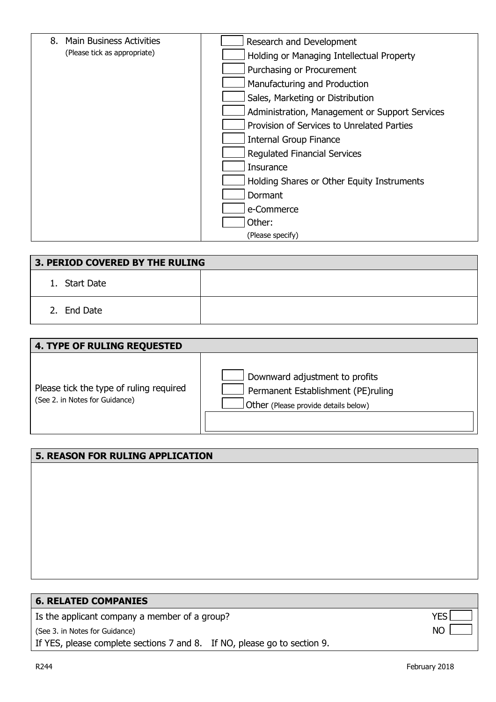| 8. Main Business Activities  | Research and Development                       |
|------------------------------|------------------------------------------------|
| (Please tick as appropriate) | Holding or Managing Intellectual Property      |
|                              | Purchasing or Procurement                      |
|                              | Manufacturing and Production                   |
|                              | Sales, Marketing or Distribution               |
|                              | Administration, Management or Support Services |
|                              | Provision of Services to Unrelated Parties     |
|                              | <b>Internal Group Finance</b>                  |
|                              | <b>Regulated Financial Services</b>            |
|                              | <b>Insurance</b>                               |
|                              | Holding Shares or Other Equity Instruments     |
|                              | Dormant                                        |
|                              | e-Commerce                                     |
|                              | Other:                                         |
|                              | (Please specify)                               |

| 3. PERIOD COVERED BY THE RULING |  |  |
|---------------------------------|--|--|
| 1. Start Date                   |  |  |
| 2. End Date                     |  |  |

| <b>4. TYPE OF RULING REQUESTED</b>                                        |                                                                                                              |
|---------------------------------------------------------------------------|--------------------------------------------------------------------------------------------------------------|
| Please tick the type of ruling required<br>(See 2. in Notes for Guidance) | Downward adjustment to profits<br>Permanent Establishment (PE)ruling<br>Other (Please provide details below) |

# **5. REASON FOR RULING APPLICATION**

| <b>6. RELATED COMPANIES</b>                                              |            |
|--------------------------------------------------------------------------|------------|
| Is the applicant company a member of a group?                            | <b>YFS</b> |
| (See 3. in Notes for Guidance)                                           | NO.        |
| If YES, please complete sections 7 and 8. If NO, please go to section 9. |            |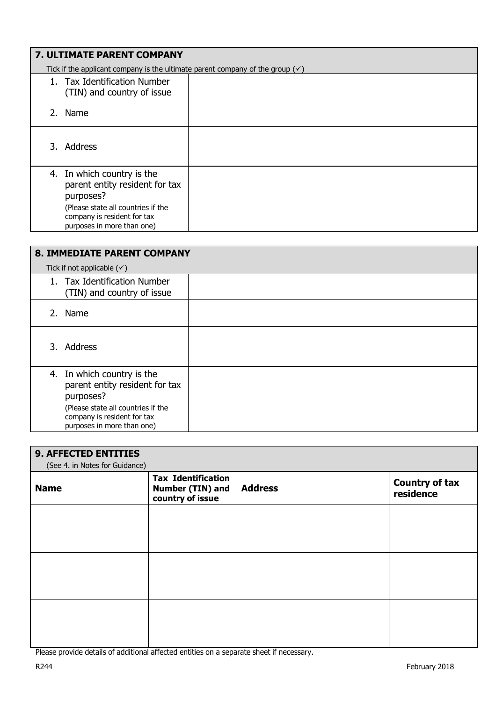| <b>7. ULTIMATE PARENT COMPANY</b>                                                                                                                                            |  |  |
|------------------------------------------------------------------------------------------------------------------------------------------------------------------------------|--|--|
| Tick if the applicant company is the ultimate parent company of the group $(\checkmark)$                                                                                     |  |  |
| 1. Tax Identification Number<br>(TIN) and country of issue                                                                                                                   |  |  |
| 2. Name                                                                                                                                                                      |  |  |
| 3. Address                                                                                                                                                                   |  |  |
| 4. In which country is the<br>parent entity resident for tax<br>purposes?<br>(Please state all countries if the<br>company is resident for tax<br>purposes in more than one) |  |  |

| <b>8. IMMEDIATE PARENT COMPANY</b> |                                                                                                                                                                              |  |  |
|------------------------------------|------------------------------------------------------------------------------------------------------------------------------------------------------------------------------|--|--|
|                                    | Tick if not applicable $(\check{\mathsf{y}})$                                                                                                                                |  |  |
|                                    | 1. Tax Identification Number<br>(TIN) and country of issue                                                                                                                   |  |  |
|                                    | 2. Name                                                                                                                                                                      |  |  |
|                                    | 3. Address                                                                                                                                                                   |  |  |
|                                    | 4. In which country is the<br>parent entity resident for tax<br>purposes?<br>(Please state all countries if the<br>company is resident for tax<br>purposes in more than one) |  |  |

| <b>9. AFFECTED ENTITIES</b><br>(See 4. in Notes for Guidance) |                                                                   |                |                                    |
|---------------------------------------------------------------|-------------------------------------------------------------------|----------------|------------------------------------|
| <b>Name</b>                                                   | <b>Tax Identification</b><br>Number (TIN) and<br>country of issue | <b>Address</b> | <b>Country of tax</b><br>residence |
|                                                               |                                                                   |                |                                    |
|                                                               |                                                                   |                |                                    |
|                                                               |                                                                   |                |                                    |
|                                                               |                                                                   |                |                                    |

Please provide details of additional affected entities on a separate sheet if necessary.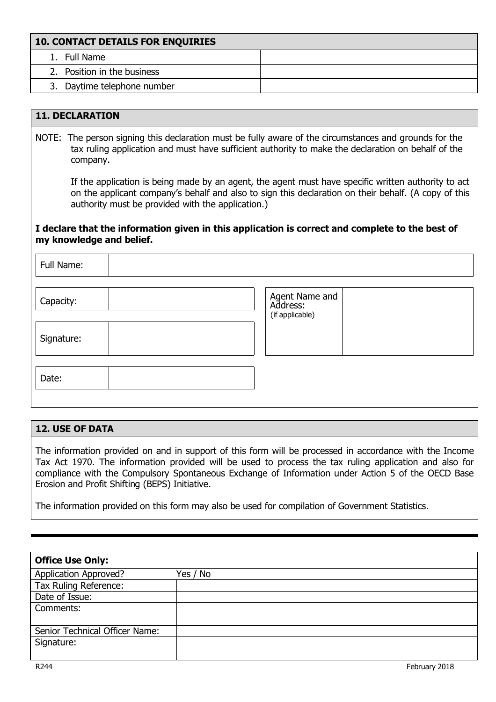| <b>10. CONTACT DETAILS FOR ENQUIRIES</b> |  |  |
|------------------------------------------|--|--|
| 1. Full Name                             |  |  |
| 2. Position in the business              |  |  |
| 3. Daytime telephone number              |  |  |

## **11. DECLARATION**

NOTE: The person signing this declaration must be fully aware of the circumstances and grounds for the tax ruling application and must have sufficient authority to make the declaration on behalf of the company.

If the application is being made by an agent, the agent must have specific written authority to act on the applicant company's behalf and also to sign this declaration on their behalf. (A copy of this authority must be provided with the application.)

#### **I declare that the information given in this application is correct and complete to the best of my knowledge and belief.**

| Full Name: |                                               |
|------------|-----------------------------------------------|
| Capacity:  | Agent Name and<br>Address:<br>(if applicable) |
| Signature: |                                               |
| Date:      |                                               |

#### **12. USE OF DATA**

The information provided on and in support of this form will be processed in accordance with the Income Tax Act 1970. The information provided will be used to process the tax ruling application and also for compliance with the Compulsory Spontaneous Exchange of Information under Action 5 of the OECD Base Erosion and Profit Shifting (BEPS) Initiative.

The information provided on this form may also be used for compilation of Government Statistics.

| <b>Office Use Only:</b>        |          |  |
|--------------------------------|----------|--|
| Application Approved?          | Yes / No |  |
| Tax Ruling Reference:          |          |  |
| Date of Issue:                 |          |  |
| Comments:                      |          |  |
|                                |          |  |
| Senior Technical Officer Name: |          |  |
| Signature:                     |          |  |
|                                |          |  |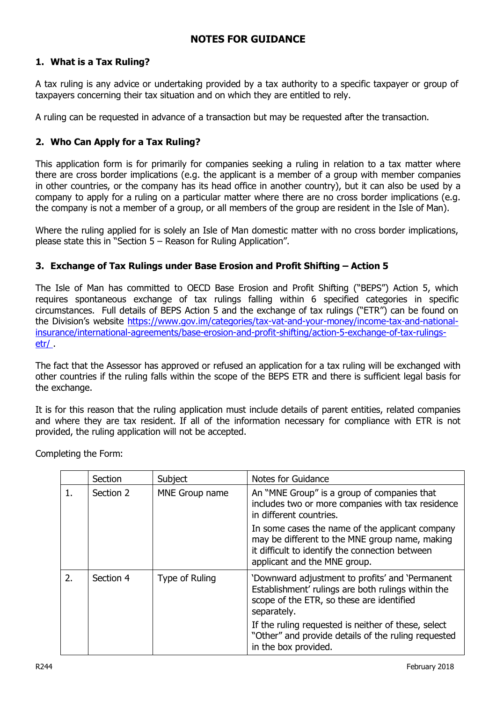## **NOTES FOR GUIDANCE**

## **1. What is a Tax Ruling?**

A tax ruling is any advice or undertaking provided by a tax authority to a specific taxpayer or group of taxpayers concerning their tax situation and on which they are entitled to rely.

A ruling can be requested in advance of a transaction but may be requested after the transaction.

## **2. Who Can Apply for a Tax Ruling?**

This application form is for primarily for companies seeking a ruling in relation to a tax matter where there are cross border implications (e.g. the applicant is a member of a group with member companies in other countries, or the company has its head office in another country), but it can also be used by a company to apply for a ruling on a particular matter where there are no cross border implications (e.g. the company is not a member of a group, or all members of the group are resident in the Isle of Man).

Where the ruling applied for is solely an Isle of Man domestic matter with no cross border implications, please state this in "Section 5 – Reason for Ruling Application".

#### **3. Exchange of Tax Rulings under Base Erosion and Profit Shifting – Action 5**

The Isle of Man has committed to OECD Base Erosion and Profit Shifting ("BEPS") Action 5, which requires spontaneous exchange of tax rulings falling within 6 specified categories in specific circumstances. Full details of BEPS Action 5 and the exchange of tax rulings ("ETR") can be found on the Division's website [https://www.gov.im/categories/tax-vat-and-your-money/income-tax-and-national](https://www.gov.im/categories/tax-vat-and-your-money/income-tax-and-national-insurance/international-agreements/base-erosion-and-profit-shifting/action-5-exchange-of-tax-rulings-etr/)[insurance/international-agreements/base-erosion-and-profit-shifting/action-5-exchange-of-tax-rulings](https://www.gov.im/categories/tax-vat-and-your-money/income-tax-and-national-insurance/international-agreements/base-erosion-and-profit-shifting/action-5-exchange-of-tax-rulings-etr/)[etr/ .](https://www.gov.im/categories/tax-vat-and-your-money/income-tax-and-national-insurance/international-agreements/base-erosion-and-profit-shifting/action-5-exchange-of-tax-rulings-etr/)

The fact that the Assessor has approved or refused an application for a tax ruling will be exchanged with other countries if the ruling falls within the scope of the BEPS ETR and there is sufficient legal basis for the exchange.

It is for this reason that the ruling application must include details of parent entities, related companies and where they are tax resident. If all of the information necessary for compliance with ETR is not provided, the ruling application will not be accepted.

Completing the Form:

|    | Section   | Subject        | Notes for Guidance                                                                                                                                                                   |
|----|-----------|----------------|--------------------------------------------------------------------------------------------------------------------------------------------------------------------------------------|
|    | Section 2 | MNE Group name | An "MNE Group" is a group of companies that<br>includes two or more companies with tax residence<br>in different countries.                                                          |
|    |           |                | In some cases the name of the applicant company<br>may be different to the MNE group name, making<br>it difficult to identify the connection between<br>applicant and the MNE group. |
| 2. | Section 4 | Type of Ruling | 'Downward adjustment to profits' and 'Permanent<br>Establishment' rulings are both rulings within the<br>scope of the ETR, so these are identified<br>separately.                    |
|    |           |                | If the ruling requested is neither of these, select<br>"Other" and provide details of the ruling requested<br>in the box provided.                                                   |